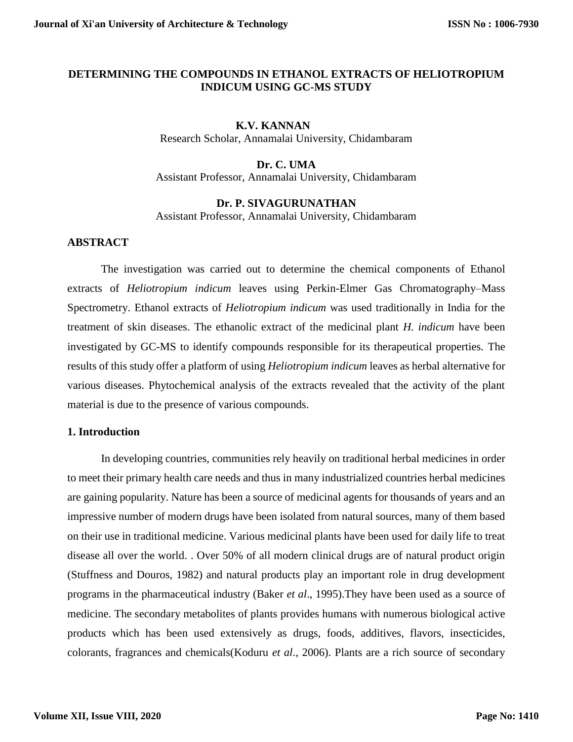### **DETERMINING THE COMPOUNDS IN ETHANOL EXTRACTS OF HELIOTROPIUM INDICUM USING GC-MS STUDY**

## **K.V. KANNAN**

Research Scholar, Annamalai University, Chidambaram

## **Dr. C. UMA**

Assistant Professor, Annamalai University, Chidambaram

### **Dr. P. SIVAGURUNATHAN**

Assistant Professor, Annamalai University, Chidambaram

## **ABSTRACT**

The investigation was carried out to determine the chemical components of Ethanol extracts of *Heliotropium indicum* leaves using Perkin-Elmer Gas Chromatography–Mass Spectrometry. Ethanol extracts of *Heliotropium indicum* was used traditionally in India for the treatment of skin diseases. The ethanolic extract of the medicinal plant *H. indicum* have been investigated by GC-MS to identify compounds responsible for its therapeutical properties. The results of this study offer a platform of using *Heliotropium indicum* leaves as herbal alternative for various diseases. Phytochemical analysis of the extracts revealed that the activity of the plant material is due to the presence of various compounds.

#### **1. Introduction**

In developing countries, communities rely heavily on traditional herbal medicines in order to meet their primary health care needs and thus in many industrialized countries herbal medicines are gaining popularity. Nature has been a source of medicinal agents for thousands of years and an impressive number of modern drugs have been isolated from natural sources, many of them based on their use in traditional medicine. Various medicinal plants have been used for daily life to treat disease all over the world. . Over 50% of all modern clinical drugs are of natural product origin (Stuffness and Douros, 1982) and natural products play an important role in drug development programs in the pharmaceutical industry (Baker *et al*., 1995).They have been used as a source of medicine. The secondary metabolites of plants provides humans with numerous biological active products which has been used extensively as drugs, foods, additives, flavors, insecticides, colorants, fragrances and chemicals(Koduru *et al*., 2006). Plants are a rich source of secondary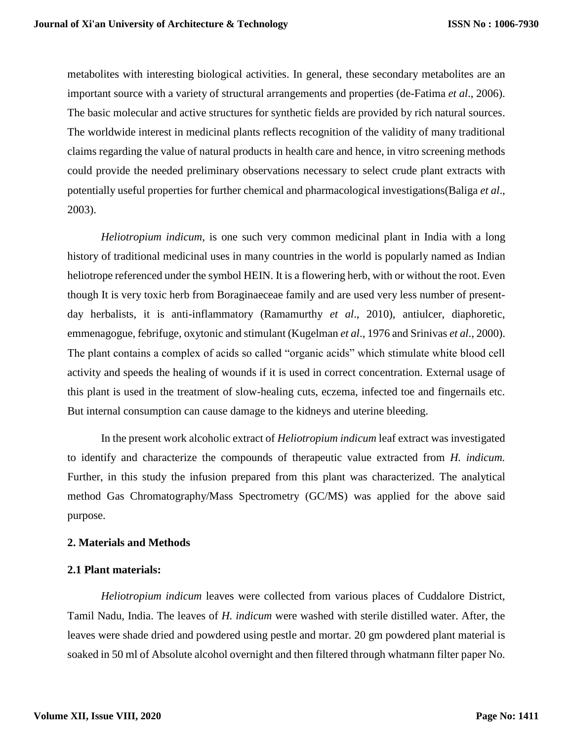metabolites with interesting biological activities. In general, these secondary metabolites are an important source with a variety of structural arrangements and properties (de-Fatima *et al*., 2006). The basic molecular and active structures for synthetic fields are provided by rich natural sources. The worldwide interest in medicinal plants reflects recognition of the validity of many traditional claims regarding the value of natural products in health care and hence, in vitro screening methods could provide the needed preliminary observations necessary to select crude plant extracts with potentially useful properties for further chemical and pharmacological investigations(Baliga *et al*., 2003).

*Heliotropium indicum*, is one such very common medicinal plant in India with a long history of traditional medicinal uses in many countries in the world is popularly named as Indian heliotrope referenced under the symbol HEIN. It is a flowering herb, with or without the root. Even though It is very toxic herb from Boraginaeceae family and are used very less number of presentday herbalists, it is anti-inflammatory (Ramamurthy *et al*., 2010), antiulcer, diaphoretic, emmenagogue, febrifuge, oxytonic and stimulant (Kugelman *et al*., 1976 and Srinivas *et al*., 2000). The plant contains a complex of acids so called "organic acids" which stimulate white blood cell activity and speeds the healing of wounds if it is used in correct concentration. External usage of this plant is used in the treatment of slow-healing cuts, eczema, infected toe and fingernails etc. But internal consumption can cause damage to the kidneys and uterine bleeding.

In the present work alcoholic extract of *Heliotropium indicum* leaf extract was investigated to identify and characterize the compounds of therapeutic value extracted from *H. indicum.*  Further, in this study the infusion prepared from this plant was characterized. The analytical method Gas Chromatography/Mass Spectrometry (GC/MS) was applied for the above said purpose.

#### **2. Materials and Methods**

#### **2.1 Plant materials:**

*Heliotropium indicum* leaves were collected from various places of Cuddalore District, Tamil Nadu, India. The leaves of *H. indicum* were washed with sterile distilled water. After, the leaves were shade dried and powdered using pestle and mortar. 20 gm powdered plant material is soaked in 50 ml of Absolute alcohol overnight and then filtered through whatmann filter paper No.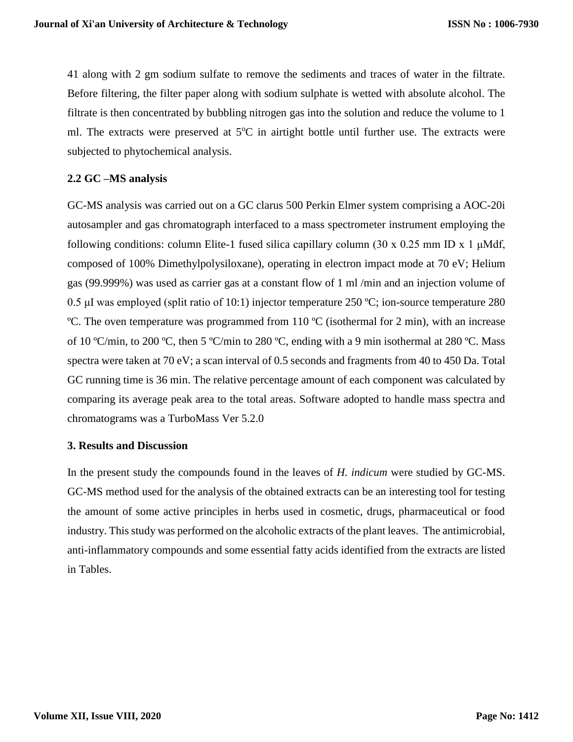41 along with 2 gm sodium sulfate to remove the sediments and traces of water in the filtrate. Before filtering, the filter paper along with sodium sulphate is wetted with absolute alcohol. The filtrate is then concentrated by bubbling nitrogen gas into the solution and reduce the volume to 1 ml. The extracts were preserved at  $5^{\circ}C$  in airtight bottle until further use. The extracts were subjected to phytochemical analysis.

### **2.2 GC –MS analysis**

GC-MS analysis was carried out on a GC clarus 500 Perkin Elmer system comprising a AOC-20i autosampler and gas chromatograph interfaced to a mass spectrometer instrument employing the following conditions: column Elite-1 fused silica capillary column (30 x 0.25 mm ID x 1  $\mu$ Mdf, composed of 100% Dimethylpolysiloxane), operating in electron impact mode at 70 eV; Helium gas (99.999%) was used as carrier gas at a constant flow of 1 ml /min and an injection volume of 0.5 μI was employed (split ratio of 10:1) injector temperature 250 ºC; ion-source temperature 280 ºC. The oven temperature was programmed from 110 ºC (isothermal for 2 min), with an increase of 10 ºC/min, to 200 ºC, then 5 ºC/min to 280 ºC, ending with a 9 min isothermal at 280 ºC. Mass spectra were taken at 70 eV; a scan interval of 0.5 seconds and fragments from 40 to 450 Da. Total GC running time is 36 min. The relative percentage amount of each component was calculated by comparing its average peak area to the total areas. Software adopted to handle mass spectra and chromatograms was a TurboMass Ver 5.2.0

### **3. Results and Discussion**

In the present study the compounds found in the leaves of *H. indicum* were studied by GC-MS. GC-MS method used for the analysis of the obtained extracts can be an interesting tool for testing the amount of some active principles in herbs used in cosmetic, drugs, pharmaceutical or food industry. This study was performed on the alcoholic extracts of the plant leaves. The antimicrobial, anti-inflammatory compounds and some essential fatty acids identified from the extracts are listed in Tables.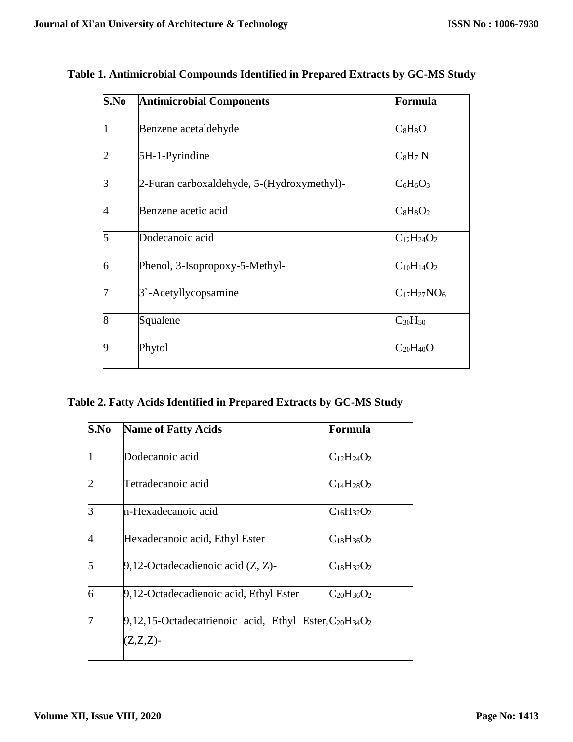| S.No           | <b>Antimicrobial Components</b>            | Formula            |
|----------------|--------------------------------------------|--------------------|
|                | Benzene acetaldehyde                       | $C_8H_8O$          |
| 2              | 5H-1-Pyrindine                             | $C_8H_7N$          |
| $\overline{3}$ | 2-Furan carboxaldehyde, 5-(Hydroxymethyl)- | $C_6H_6O_3$        |
| 4              | Benzene acetic acid                        | $C_8H_8O_2$        |
| 5              | Dodecanoic acid                            | $C_{12}H_{24}O_2$  |
| 6              | Phenol, 3-Isopropoxy-5-Methyl-             | $C_{10}H_{14}O_2$  |
| 7              | 3 <sup>-</sup> Acetyllycopsamine           | $C_{17}H_{27}NO_6$ |
| 8              | Squalene                                   | $C_{30}H_{50}$     |
| 9              | Phytol                                     | $C_{20}H_{40}O$    |
|                |                                            |                    |

| Table 1. Antimicrobial Compounds Identified in Prepared Extracts by GC-MS Study |  |  |  |  |
|---------------------------------------------------------------------------------|--|--|--|--|
|---------------------------------------------------------------------------------|--|--|--|--|

# **Table 2. Fatty Acids Identified in Prepared Extracts by GC-MS Study**

| S.No           | <b>Name of Fatty Acids</b>                                                      | Formula           |
|----------------|---------------------------------------------------------------------------------|-------------------|
| $\overline{1}$ | Dodecanoic acid                                                                 | $C_{12}H_{24}O_2$ |
| $\overline{2}$ | Tetradecanoic acid                                                              | $C_{14}H_{28}O_2$ |
| $\overline{3}$ | n-Hexadecanoic acid                                                             | $C_{16}H_{32}O_2$ |
| 4              | Hexadecanoic acid, Ethyl Ester                                                  | $C_{18}H_{36}O_2$ |
| 5              | $9,12$ -Octadecadienoic acid $(Z, Z)$ -                                         | $C_{18}H_{32}O_2$ |
| $\overline{6}$ | 9,12-Octadecadienoic acid, Ethyl Ester                                          | $C_{20}H_{36}O_2$ |
| 7              | $9,12,15$ -Octadecatrienoic acid, Ethyl Ester, $C_{20}H_{34}O_2$<br>$(Z,Z,Z)$ - |                   |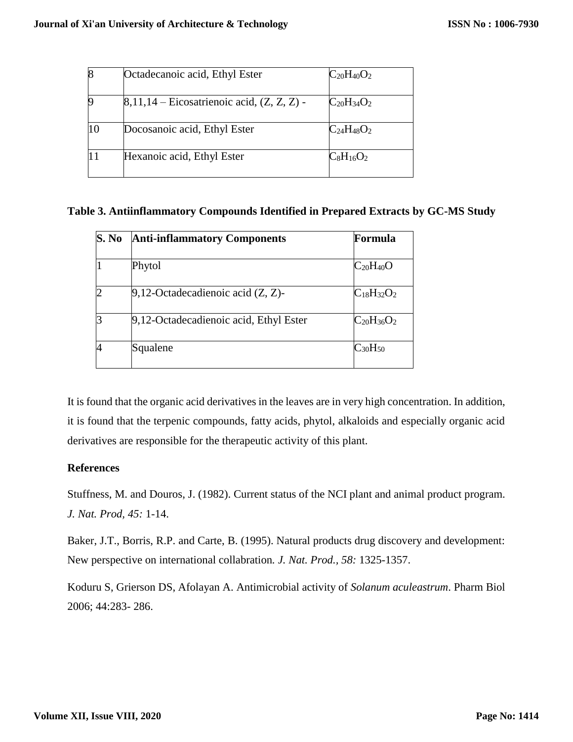|    | Octadecanoic acid, Ethyl Ester                  | $C_{20}H_{40}O_2$ |
|----|-------------------------------------------------|-------------------|
|    | $[8,11,14$ – Eicosatrienoic acid, $(Z, Z, Z)$ - | $C_{20}H_{34}O_2$ |
| 10 | Docosanoic acid, Ethyl Ester                    | $C_{24}H_{48}O_2$ |
|    | Hexanoic acid, Ethyl Ester                      | $C_8H_{16}O_2$    |

## **Table 3. Antiinflammatory Compounds Identified in Prepared Extracts by GC-MS Study**

| S. No          | <b>Anti-inflammatory Components</b>     | Formula           |
|----------------|-----------------------------------------|-------------------|
|                | Phytol                                  | $C_{20}H_{40}O$   |
| $\overline{2}$ | $9,12$ -Octadecadienoic acid $(Z, Z)$ - | $C_{18}H_{32}O_2$ |
| 3              | 9,12-Octadecadienoic acid, Ethyl Ester  | $C_{20}H_{36}O_2$ |
| 4              | Squalene                                | $C_{30}H_{50}$    |

It is found that the organic acid derivatives in the leaves are in very high concentration. In addition, it is found that the terpenic compounds, fatty acids, phytol, alkaloids and especially organic acid derivatives are responsible for the therapeutic activity of this plant.

## **References**

Stuffness, M. and Douros, J. (1982). Current status of the NCI plant and animal product program. *J. Nat. Prod, 45:* 1-14.

Baker, J.T., Borris, R.P. and Carte, B. (1995). Natural products drug discovery and development: New perspective on international collabration*. J. Nat. Prod., 58:* 1325-1357.

Koduru S, Grierson DS, Afolayan A. Antimicrobial activity of *Solanum aculeastrum*. Pharm Biol 2006; 44:283- 286.